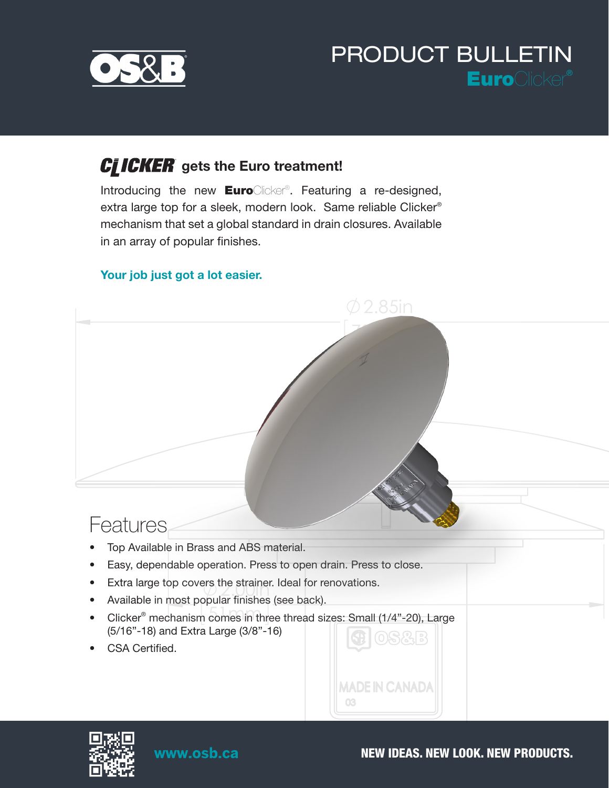

# PRODUCT BULLETIN EuroClicker*®*

### gets the Euro treatment!

Introducing the new EuroClicker®. Featuring a re-designed, extra large top for a sleek, modern look. Same reliable Clicker*®* mechanism that set a global standard in drain closures. Available in an array of popular finishes.

#### Your job just got a lot easier.





www.osb.ca